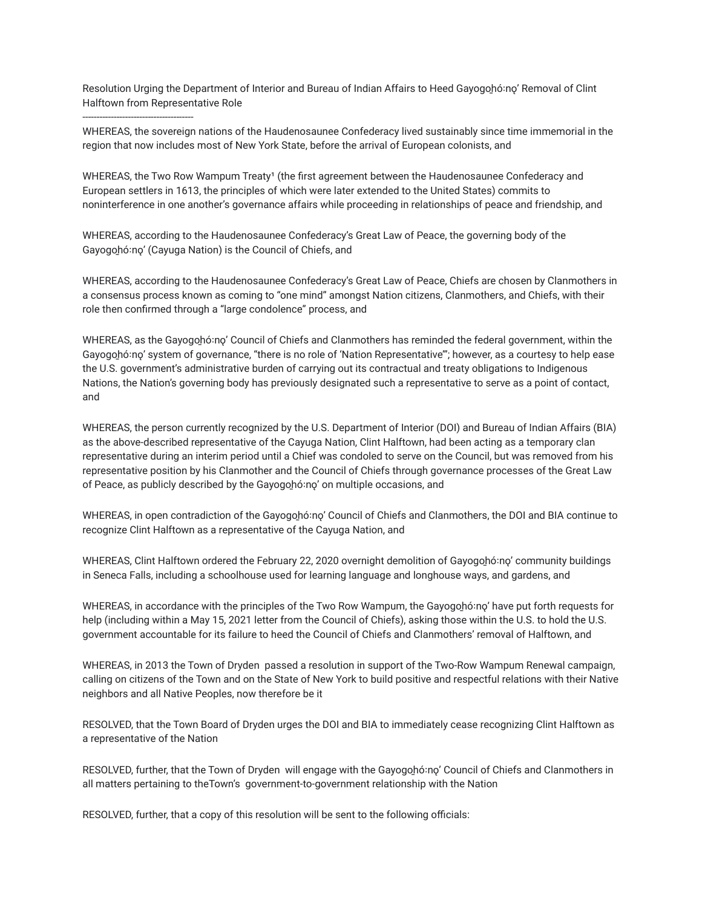Resolution Urging the Department of Interior and Bureau of Indian Affairs to Heed Gayogo̯hóːno̞' Removal of Clint Halftown from Representative Role

---------------------------------------

WHEREAS, the sovereign nations of the Haudenosaunee Confederacy lived sustainably since time immemorial in the region that now includes most of New York State, before the arrival of European colonists, and

WHEREAS, the Two Row Wampum Treaty<sup>1</sup> (the first agreement between the Haudenosaunee Confederacy and European settlers in 1613, the principles of which were later extended to the United States) commits to noninterference in one another's governance affairs while proceeding in relationships of peace and friendship, and

WHEREAS, according to the Haudenosaunee Confederacy's Great Law of Peace, the governing body of the Gayogohó:no' (Cayuga Nation) is the Council of Chiefs, and

WHEREAS, according to the Haudenosaunee Confederacy's Great Law of Peace, Chiefs are chosen by Clanmothers in a consensus process known as coming to "one mind" amongst Nation citizens, Clanmothers, and Chiefs, with their role then confirmed through a "large condolence" process, and

WHEREAS, as the Gayogohó:no' Council of Chiefs and Clanmothers has reminded the federal government, within the Gayogohó:no' system of governance, "there is no role of 'Nation Representative'"; however, as a courtesy to help ease the U.S. government's administrative burden of carrying out its contractual and treaty obligations to Indigenous Nations, the Nation's governing body has previously designated such a representative to serve as a point of contact, and

WHEREAS, the person currently recognized by the U.S. Department of Interior (DOI) and Bureau of Indian Affairs (BIA) as the above-described representative of the Cayuga Nation, Clint Halftown, had been acting as a temporary clan representative during an interim period until a Chief was condoled to serve on the Council, but was removed from his representative position by his Clanmother and the Council of Chiefs through governance processes of the Great Law of Peace, as publicly described by the Gayogohó:no' on multiple occasions, and

WHEREAS, in open contradiction of the Gayogohó:no' Council of Chiefs and Clanmothers, the DOI and BIA continue to recognize Clint Halftown as a representative of the Cayuga Nation, and

WHEREAS, Clint Halftown ordered the February 22, 2020 overnight demolition of Gayogohó:no' community buildings in Seneca Falls, including a schoolhouse used for learning language and longhouse ways, and gardens, and

WHEREAS, in accordance with the principles of the Two Row Wampum, the Gayogohó:no' have put forth requests for help (including within a May 15, 2021 letter from the Council of Chiefs), asking those within the U.S. to hold the U.S. government accountable for its failure to heed the Council of Chiefs and Clanmothers' removal of Halftown, and

WHEREAS, in 2013 the Town of Dryden passed a resolution in support of the Two-Row Wampum Renewal campaign, calling on citizens of the Town and on the State of New York to build positive and respectful relations with their Native neighbors and all Native Peoples, now therefore be it

RESOLVED, that the Town Board of Dryden urges the DOI and BIA to immediately cease recognizing Clint Halftown as a representative of the Nation

RESOLVED, further, that the Town of Dryden will engage with the Gayogo̯hóːno̩' Council of Chiefs and Clanmothers in all matters pertaining to theTown's government-to-government relationship with the Nation

RESOLVED, further, that a copy of this resolution will be sent to the following officials: